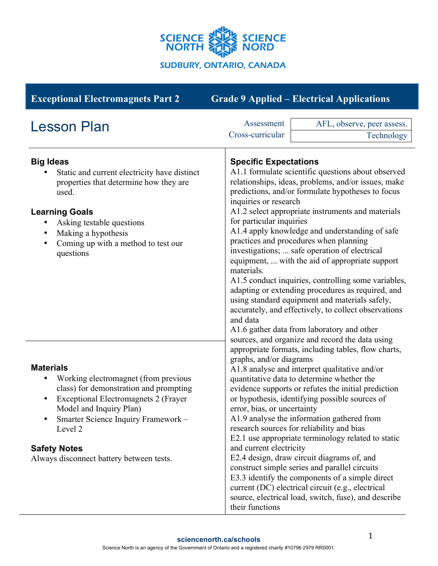

| <b>Exceptional Electromagnets Part 2</b>                                                                                                                                                                                                                                                                        |                                                                                                      | <b>Grade 9 Applied – Electrical Applications</b>                                                                                                                                                                                                                                                                                                                                                                                                                                                                                                                                                                                                                                                                                                                             |  |
|-----------------------------------------------------------------------------------------------------------------------------------------------------------------------------------------------------------------------------------------------------------------------------------------------------------------|------------------------------------------------------------------------------------------------------|------------------------------------------------------------------------------------------------------------------------------------------------------------------------------------------------------------------------------------------------------------------------------------------------------------------------------------------------------------------------------------------------------------------------------------------------------------------------------------------------------------------------------------------------------------------------------------------------------------------------------------------------------------------------------------------------------------------------------------------------------------------------------|--|
| <b>Lesson Plan</b>                                                                                                                                                                                                                                                                                              | Assessment<br>Cross-curricular                                                                       | AFL, observe, peer assess.<br>Technology                                                                                                                                                                                                                                                                                                                                                                                                                                                                                                                                                                                                                                                                                                                                     |  |
| <b>Big Ideas</b><br>Static and current electricity have distinct<br>properties that determine how they are<br>used.<br><b>Learning Goals</b><br>Asking testable questions<br>Making a hypothesis<br>Coming up with a method to test our<br>٠<br>questions                                                       | materials.<br>and data<br>sources, and organize and record the data using                            | <b>Specific Expectations</b><br>A1.1 formulate scientific questions about observed<br>relationships, ideas, problems, and/or issues, make<br>predictions, and/or formulate hypotheses to focus<br>inquiries or research<br>A1.2 select appropriate instruments and materials<br>for particular inquiries<br>A1.4 apply knowledge and understanding of safe<br>practices and procedures when planning<br>investigations;  safe operation of electrical<br>equipment,  with the aid of appropriate support<br>A1.5 conduct inquiries, controlling some variables,<br>adapting or extending procedures as required, and<br>using standard equipment and materials safely,<br>accurately, and effectively, to collect observations<br>A1.6 gather data from laboratory and other |  |
| <b>Materials</b><br>Working electromagnet (from previous<br>class) for demonstration and prompting<br><b>Exceptional Electromagnets 2 (Frayer)</b><br>$\bullet$<br>Model and Inquiry Plan)<br>Smarter Science Inquiry Framework -<br>Level 2<br><b>Safety Notes</b><br>Always disconnect battery between tests. | graphs, and/or diagrams<br>error, bias, or uncertainty<br>and current electricity<br>their functions | appropriate formats, including tables, flow charts,<br>A1.8 analyse and interpret qualitative and/or<br>quantitative data to determine whether the<br>evidence supports or refutes the initial prediction<br>or hypothesis, identifying possible sources of<br>A1.9 analyse the information gathered from<br>research sources for reliability and bias<br>E2.1 use appropriate terminology related to static<br>E2.4 design, draw circuit diagrams of, and<br>construct simple series and parallel circuits<br>E3.3 identify the components of a simple direct<br>current (DC) electrical circuit (e.g., electrical<br>source, electrical load, switch, fuse), and describe                                                                                                  |  |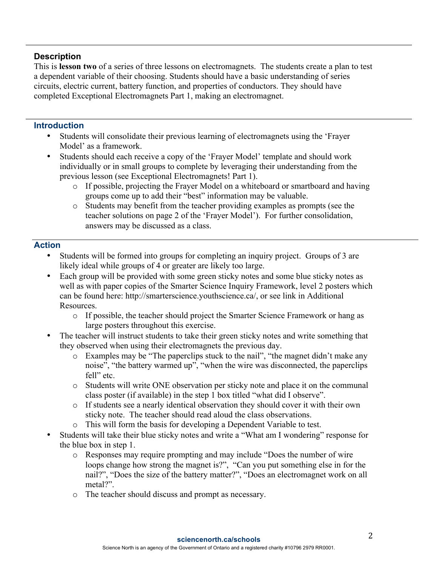## **Description**

This is **lesson two** of a series of three lessons on electromagnets. The students create a plan to test a dependent variable of their choosing. Students should have a basic understanding of series circuits, electric current, battery function, and properties of conductors. They should have completed Exceptional Electromagnets Part 1, making an electromagnet.

## **Introduction**

- Students will consolidate their previous learning of electromagnets using the 'Frayer Model' as a framework.
- Students should each receive a copy of the 'Frayer Model' template and should work individually or in small groups to complete by leveraging their understanding from the previous lesson (see Exceptional Electromagnets! Part 1).
	- o If possible, projecting the Frayer Model on a whiteboard or smartboard and having groups come up to add their "best" information may be valuable.
	- o Students may benefit from the teacher providing examples as prompts (see the teacher solutions on page 2 of the 'Frayer Model'). For further consolidation, answers may be discussed as a class.

## **Action**

- Students will be formed into groups for completing an inquiry project. Groups of 3 are likely ideal while groups of 4 or greater are likely too large.
- Each group will be provided with some green sticky notes and some blue sticky notes as well as with paper copies of the Smarter Science Inquiry Framework, level 2 posters which can be found here: http://smarterscience.youthscience.ca/, or see link in Additional Resources.
	- o If possible, the teacher should project the Smarter Science Framework or hang as large posters throughout this exercise.
- The teacher will instruct students to take their green sticky notes and write something that they observed when using their electromagnets the previous day.
	- o Examples may be "The paperclips stuck to the nail", "the magnet didn't make any noise", "the battery warmed up", "when the wire was disconnected, the paperclips fell" etc.
	- o Students will write ONE observation per sticky note and place it on the communal class poster (if available) in the step 1 box titled "what did I observe".
	- o If students see a nearly identical observation they should cover it with their own sticky note. The teacher should read aloud the class observations.
	- o This will form the basis for developing a Dependent Variable to test.
- Students will take their blue sticky notes and write a "What am I wondering" response for the blue box in step 1.
	- o Responses may require prompting and may include "Does the number of wire loops change how strong the magnet is?", "Can you put something else in for the nail?", "Does the size of the battery matter?", "Does an electromagnet work on all metal?".
	- o The teacher should discuss and prompt as necessary.